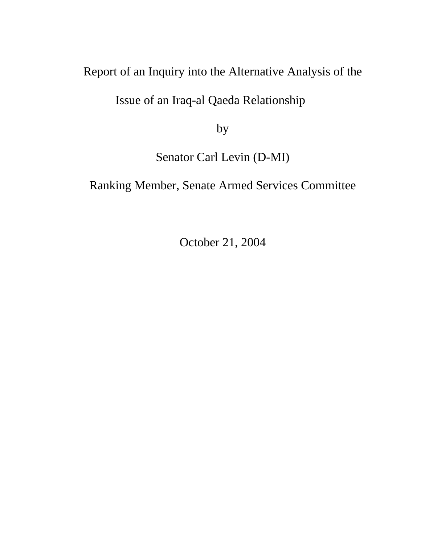## Report of an Inquiry into the Alternative Analysis of the

Issue of an Iraq-al Qaeda Relationship

by

Senator Carl Levin (D-MI)

Ranking Member, Senate Armed Services Committee

October 21, 2004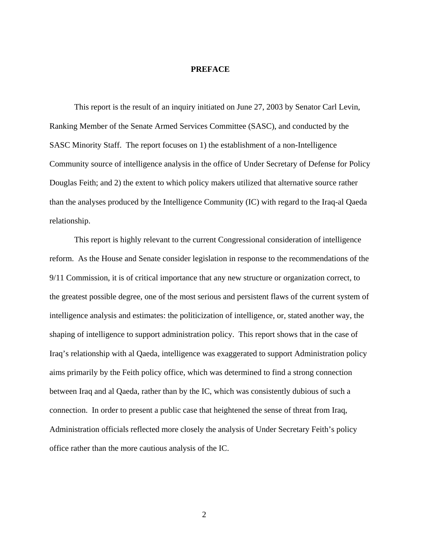#### **PREFACE**

This report is the result of an inquiry initiated on June 27, 2003 by Senator Carl Levin, Ranking Member of the Senate Armed Services Committee (SASC), and conducted by the SASC Minority Staff. The report focuses on 1) the establishment of a non-Intelligence Community source of intelligence analysis in the office of Under Secretary of Defense for Policy Douglas Feith; and 2) the extent to which policy makers utilized that alternative source rather than the analyses produced by the Intelligence Community (IC) with regard to the Iraq-al Qaeda relationship.

This report is highly relevant to the current Congressional consideration of intelligence reform. As the House and Senate consider legislation in response to the recommendations of the 9/11 Commission, it is of critical importance that any new structure or organization correct, to the greatest possible degree, one of the most serious and persistent flaws of the current system of intelligence analysis and estimates: the politicization of intelligence, or, stated another way, the shaping of intelligence to support administration policy. This report shows that in the case of Iraq's relationship with al Qaeda, intelligence was exaggerated to support Administration policy aims primarily by the Feith policy office, which was determined to find a strong connection between Iraq and al Qaeda, rather than by the IC, which was consistently dubious of such a connection. In order to present a public case that heightened the sense of threat from Iraq, Administration officials reflected more closely the analysis of Under Secretary Feith's policy office rather than the more cautious analysis of the IC.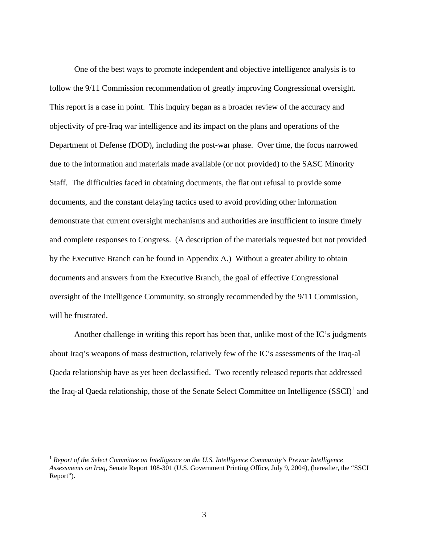One of the best ways to promote independent and objective intelligence analysis is to follow the 9/11 Commission recommendation of greatly improving Congressional oversight. This report is a case in point. This inquiry began as a broader review of the accuracy and objectivity of pre-Iraq war intelligence and its impact on the plans and operations of the Department of Defense (DOD), including the post-war phase. Over time, the focus narrowed due to the information and materials made available (or not provided) to the SASC Minority Staff. The difficulties faced in obtaining documents, the flat out refusal to provide some documents, and the constant delaying tactics used to avoid providing other information demonstrate that current oversight mechanisms and authorities are insufficient to insure timely and complete responses to Congress. (A description of the materials requested but not provided by the Executive Branch can be found in Appendix A.) Without a greater ability to obtain documents and answers from the Executive Branch, the goal of effective Congressional oversight of the Intelligence Community, so strongly recommended by the 9/11 Commission, will be frustrated.

Another challenge in writing this report has been that, unlike most of the IC's judgments about Iraq's weapons of mass destruction, relatively few of the IC's assessments of the Iraq-al Qaeda relationship have as yet been declassified. Two recently released reports that addressed the Iraq-al Qaeda relationship, those of the Senate Select Committee on Intelligence  $(SSCI)^{1}$  $(SSCI)^{1}$  $(SSCI)^{1}$  and

<span id="page-2-0"></span><sup>1</sup> *Report of the Select Committee on Intelligence on the U.S. Intelligence Community's Prewar Intelligence Assessments on Iraq*, Senate Report 108-301 (U.S. Government Printing Office, July 9, 2004), (hereafter, the "SSCI Report").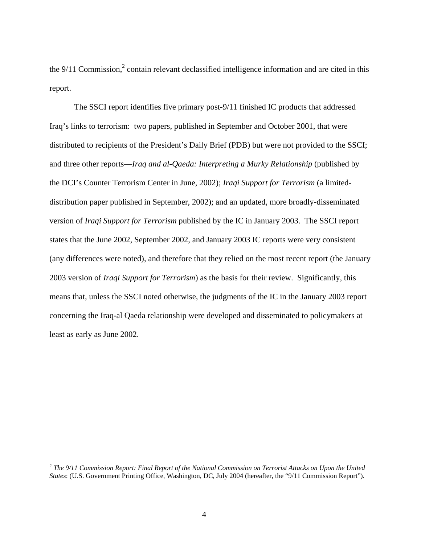the  $9/11$  Commission,<sup>[2](#page-3-0)</sup> contain relevant declassified intelligence information and are cited in this report.

The SSCI report identifies five primary post-9/11 finished IC products that addressed Iraq's links to terrorism: two papers, published in September and October 2001, that were distributed to recipients of the President's Daily Brief (PDB) but were not provided to the SSCI; and three other reports—*Iraq and al-Qaeda: Interpreting a Murky Relationship* (published by the DCI's Counter Terrorism Center in June, 2002); *Iraqi Support for Terrorism* (a limiteddistribution paper published in September, 2002); and an updated, more broadly-disseminated version of *Iraqi Support for Terrorism* published by the IC in January 2003. The SSCI report states that the June 2002, September 2002, and January 2003 IC reports were very consistent (any differences were noted), and therefore that they relied on the most recent report (the January 2003 version of *Iraqi Support for Terrorism*) as the basis for their review. Significantly, this means that, unless the SSCI noted otherwise, the judgments of the IC in the January 2003 report concerning the Iraq-al Qaeda relationship were developed and disseminated to policymakers at least as early as June 2002.

<u>.</u>

<span id="page-3-0"></span><sup>2</sup> *The 9/11 Commission Report: Final Report of the National Commission on Terrorist Attacks on Upon the United States*: (U.S. Government Printing Office, Washington, DC, July 2004 (hereafter, the "9/11 Commission Report").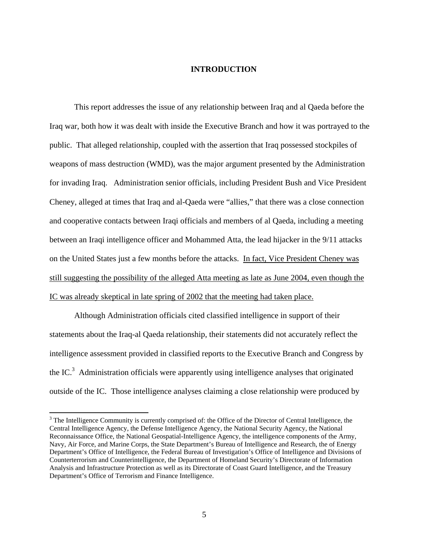#### **INTRODUCTION**

This report addresses the issue of any relationship between Iraq and al Qaeda before the Iraq war, both how it was dealt with inside the Executive Branch and how it was portrayed to the public. That alleged relationship, coupled with the assertion that Iraq possessed stockpiles of weapons of mass destruction (WMD), was the major argument presented by the Administration for invading Iraq. Administration senior officials, including President Bush and Vice President Cheney, alleged at times that Iraq and al-Qaeda were "allies," that there was a close connection and cooperative contacts between Iraqi officials and members of al Qaeda, including a meeting between an Iraqi intelligence officer and Mohammed Atta, the lead hijacker in the 9/11 attacks on the United States just a few months before the attacks. In fact, Vice President Cheney was still suggesting the possibility of the alleged Atta meeting as late as June 2004, even though the IC was already skeptical in late spring of 2002 that the meeting had taken place.

Although Administration officials cited classified intelligence in support of their statements about the Iraq-al Qaeda relationship, their statements did not accurately reflect the intelligence assessment provided in classified reports to the Executive Branch and Congress by the IC. $3$  Administration officials were apparently using intelligence analyses that originated outside of the IC. Those intelligence analyses claiming a close relationship were produced by

<u>.</u>

<span id="page-4-0"></span> $3$  The Intelligence Community is currently comprised of: the Office of the Director of Central Intelligence, the Central Intelligence Agency, the Defense Intelligence Agency, the National Security Agency, the National Reconnaissance Office, the National Geospatial-Intelligence Agency, the intelligence components of the Army, Navy, Air Force, and Marine Corps, the State Department's Bureau of Intelligence and Research, the of Energy Department's Office of Intelligence, the Federal Bureau of Investigation's Office of Intelligence and Divisions of Counterterrorism and Counterintelligence, the Department of Homeland Security's Directorate of Information Analysis and Infrastructure Protection as well as its Directorate of Coast Guard Intelligence, and the Treasury Department's Office of Terrorism and Finance Intelligence.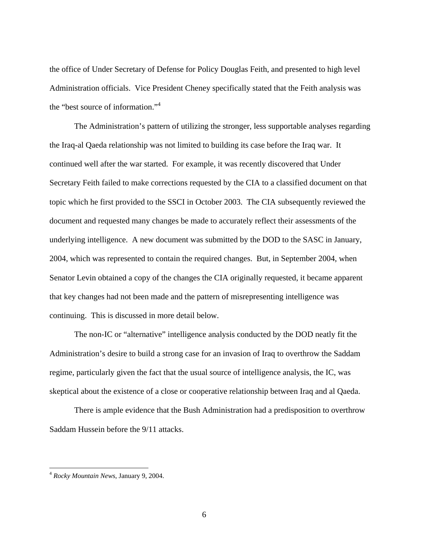the office of Under Secretary of Defense for Policy Douglas Feith, and presented to high level Administration officials. Vice President Cheney specifically stated that the Feith analysis was the "best source of information."[4](#page-5-0)

The Administration's pattern of utilizing the stronger, less supportable analyses regarding the Iraq-al Qaeda relationship was not limited to building its case before the Iraq war. It continued well after the war started. For example, it was recently discovered that Under Secretary Feith failed to make corrections requested by the CIA to a classified document on that topic which he first provided to the SSCI in October 2003. The CIA subsequently reviewed the document and requested many changes be made to accurately reflect their assessments of the underlying intelligence. A new document was submitted by the DOD to the SASC in January, 2004, which was represented to contain the required changes. But, in September 2004, when Senator Levin obtained a copy of the changes the CIA originally requested, it became apparent that key changes had not been made and the pattern of misrepresenting intelligence was continuing. This is discussed in more detail below.

The non-IC or "alternative" intelligence analysis conducted by the DOD neatly fit the Administration's desire to build a strong case for an invasion of Iraq to overthrow the Saddam regime, particularly given the fact that the usual source of intelligence analysis, the IC, was skeptical about the existence of a close or cooperative relationship between Iraq and al Qaeda.

There is ample evidence that the Bush Administration had a predisposition to overthrow Saddam Hussein before the 9/11 attacks.

<span id="page-5-0"></span><sup>4</sup> *Rocky Mountain News*, January 9, 2004.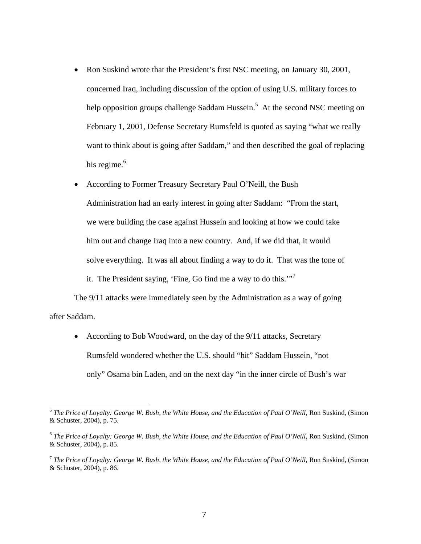- Ron Suskind wrote that the President's first NSC meeting, on January 30, 2001, concerned Iraq, including discussion of the option of using U.S. military forces to help opposition groups challenge Saddam Hussein.<sup>5</sup> At the second NSC meeting on February 1, 2001, Defense Secretary Rumsfeld is quoted as saying "what we really want to think about is going after Saddam," and then described the goal of replacing his regime.<sup>[6](#page-6-1)</sup>
- According to Former Treasury Secretary Paul O'Neill, the Bush Administration had an early interest in going after Saddam: "From the start, we were building the case against Hussein and looking at how we could take him out and change Iraq into a new country. And, if we did that, it would solve everything. It was all about finding a way to do it. That was the tone of it. The President saying, 'Fine, Go find me a way to do this.'"<sup>[7](#page-6-2)</sup>

The 9/11 attacks were immediately seen by the Administration as a way of going after Saddam.

• According to Bob Woodward, on the day of the 9/11 attacks, Secretary Rumsfeld wondered whether the U.S. should "hit" Saddam Hussein, "not only" Osama bin Laden, and on the next day "in the inner circle of Bush's war

<span id="page-6-0"></span><sup>5</sup> *The Price of Loyalty: George W. Bush, the White House, and the Education of Paul O'Neill*, Ron Suskind, (Simon & Schuster, 2004), p. 75.

<span id="page-6-1"></span><sup>6</sup> *The Price of Loyalty: George W. Bush, the White House, and the Education of Paul O'Neill*, Ron Suskind, (Simon & Schuster, 2004), p. 85.

<span id="page-6-2"></span><sup>7</sup> *The Price of Loyalty: George W. Bush, the White House, and the Education of Paul O'Neill*, Ron Suskind, (Simon & Schuster, 2004), p. 86.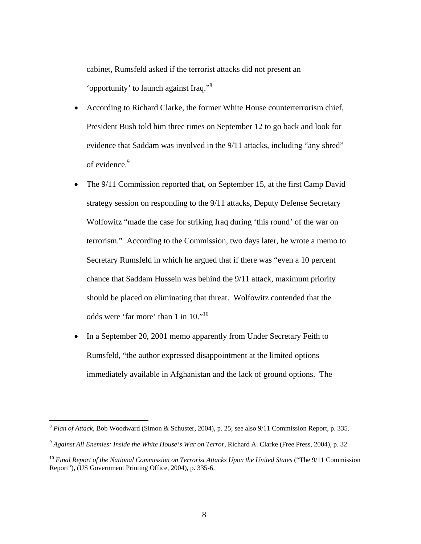cabinet, Rumsfeld asked if the terrorist attacks did not present an 'opportunity' to launch against Iraq."[8](#page-7-0)

- According to Richard Clarke, the former White House counterterrorism chief, President Bush told him three times on September 12 to go back and look for evidence that Saddam was involved in the 9/11 attacks, including "any shred" of evidence.<sup>[9](#page-7-1)</sup>
- The 9/11 Commission reported that, on September 15, at the first Camp David strategy session on responding to the 9/11 attacks, Deputy Defense Secretary Wolfowitz "made the case for striking Iraq during 'this round' of the war on terrorism." According to the Commission, two days later, he wrote a memo to Secretary Rumsfeld in which he argued that if there was "even a 10 percent chance that Saddam Hussein was behind the 9/11 attack, maximum priority should be placed on eliminating that threat. Wolfowitz contended that the odds were 'far more' than 1 in 10."<sup>10</sup>
- In a September 20, 2001 memo apparently from Under Secretary Feith to Rumsfeld, "the author expressed disappointment at the limited options immediately available in Afghanistan and the lack of ground options. The

<span id="page-7-0"></span><sup>8</sup> *Plan of Attack*, Bob Woodward (Simon & Schuster, 2004), p. 25; see also 9/11 Commission Report, p. 335.

<span id="page-7-1"></span><sup>9</sup> *Against All Enemies: Inside the White House's War on Terror*, Richard A. Clarke (Free Press, 2004), p. 32.

<span id="page-7-2"></span><sup>10</sup> *Final Report of the National Commission on Terrorist Attacks Upon the United States* ("The 9/11 Commission Report"), (US Government Printing Office, 2004), p. 335-6.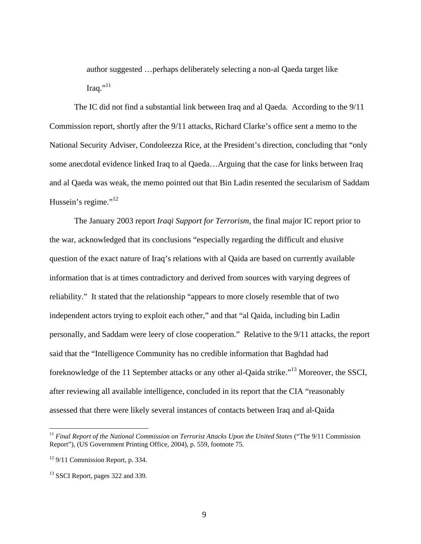author suggested …perhaps deliberately selecting a non-al Qaeda target like Iraq." $^{11}$  $^{11}$  $^{11}$ 

The IC did not find a substantial link between Iraq and al Qaeda. According to the 9/11 Commission report, shortly after the 9/11 attacks, Richard Clarke's office sent a memo to the National Security Adviser, Condoleezza Rice, at the President's direction, concluding that "only some anecdotal evidence linked Iraq to al Qaeda…Arguing that the case for links between Iraq and al Qaeda was weak, the memo pointed out that Bin Ladin resented the secularism of Saddam Hussein's regime."<sup>12</sup>

The January 2003 report *Iraqi Support for Terrorism*, the final major IC report prior to the war, acknowledged that its conclusions "especially regarding the difficult and elusive question of the exact nature of Iraq's relations with al Qaida are based on currently available information that is at times contradictory and derived from sources with varying degrees of reliability." It stated that the relationship "appears to more closely resemble that of two independent actors trying to exploit each other," and that "al Qaida, including bin Ladin personally, and Saddam were leery of close cooperation." Relative to the 9/11 attacks, the report said that the "Intelligence Community has no credible information that Baghdad had foreknowledge of the 11 September attacks or any other al-Qaida strike."[13 M](#page-8-2)oreover, the SSCI, after reviewing all available intelligence, concluded in its report that the CIA "reasonably assessed that there were likely several instances of contacts between Iraq and al-Qaida

<span id="page-8-0"></span><sup>11</sup> *Final Report of the National Commission on Terrorist Attacks Upon the United States* ("The 9/11 Commission Report"), (US Government Printing Office, 2004), p. 559, footnote 75.

<span id="page-8-1"></span> $12$  9/11 Commission Report, p. 334.

<span id="page-8-2"></span><sup>&</sup>lt;sup>13</sup> SSCI Report, pages 322 and 339.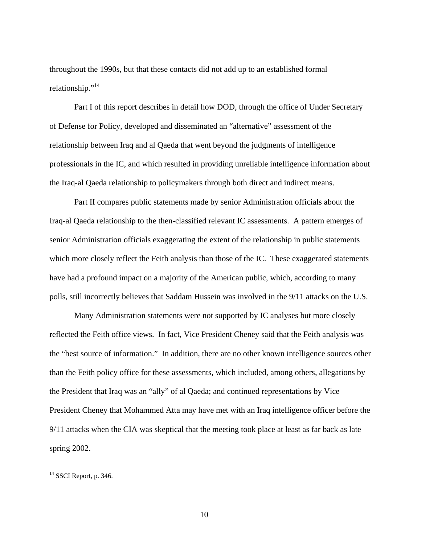throughout the 1990s, but that these contacts did not add up to an established formal relationship."<sup>14</sup>

Part I of this report describes in detail how DOD, through the office of Under Secretary of Defense for Policy, developed and disseminated an "alternative" assessment of the relationship between Iraq and al Qaeda that went beyond the judgments of intelligence professionals in the IC, and which resulted in providing unreliable intelligence information about the Iraq-al Qaeda relationship to policymakers through both direct and indirect means.

Part II compares public statements made by senior Administration officials about the Iraq-al Qaeda relationship to the then-classified relevant IC assessments. A pattern emerges of senior Administration officials exaggerating the extent of the relationship in public statements which more closely reflect the Feith analysis than those of the IC. These exaggerated statements have had a profound impact on a majority of the American public, which, according to many polls, still incorrectly believes that Saddam Hussein was involved in the 9/11 attacks on the U.S.

Many Administration statements were not supported by IC analyses but more closely reflected the Feith office views. In fact, Vice President Cheney said that the Feith analysis was the "best source of information." In addition, there are no other known intelligence sources other than the Feith policy office for these assessments, which included, among others, allegations by the President that Iraq was an "ally" of al Qaeda; and continued representations by Vice President Cheney that Mohammed Atta may have met with an Iraq intelligence officer before the 9/11 attacks when the CIA was skeptical that the meeting took place at least as far back as late spring 2002.

<span id="page-9-0"></span> $14$  SSCI Report, p. 346.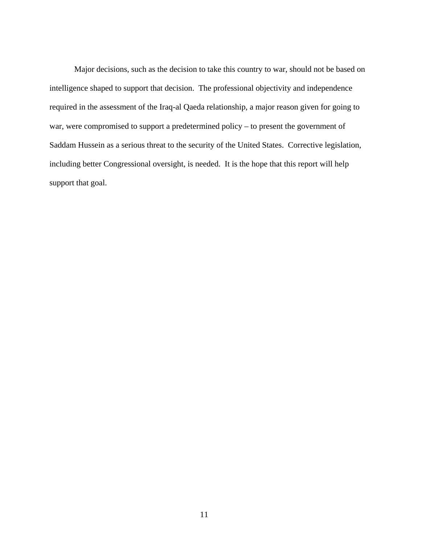Major decisions, such as the decision to take this country to war, should not be based on intelligence shaped to support that decision. The professional objectivity and independence required in the assessment of the Iraq-al Qaeda relationship, a major reason given for going to war, were compromised to support a predetermined policy – to present the government of Saddam Hussein as a serious threat to the security of the United States. Corrective legislation, including better Congressional oversight, is needed. It is the hope that this report will help support that goal.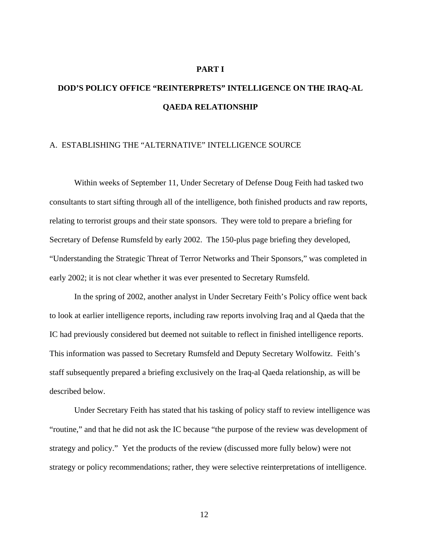#### **PART I**

# **DOD'S POLICY OFFICE "REINTERPRETS" INTELLIGENCE ON THE IRAQ-AL QAEDA RELATIONSHIP**

### A. ESTABLISHING THE "ALTERNATIVE" INTELLIGENCE SOURCE

Within weeks of September 11, Under Secretary of Defense Doug Feith had tasked two consultants to start sifting through all of the intelligence, both finished products and raw reports, relating to terrorist groups and their state sponsors. They were told to prepare a briefing for Secretary of Defense Rumsfeld by early 2002. The 150-plus page briefing they developed, "Understanding the Strategic Threat of Terror Networks and Their Sponsors," was completed in early 2002; it is not clear whether it was ever presented to Secretary Rumsfeld.

In the spring of 2002, another analyst in Under Secretary Feith's Policy office went back to look at earlier intelligence reports, including raw reports involving Iraq and al Qaeda that the IC had previously considered but deemed not suitable to reflect in finished intelligence reports. This information was passed to Secretary Rumsfeld and Deputy Secretary Wolfowitz. Feith's staff subsequently prepared a briefing exclusively on the Iraq-al Qaeda relationship, as will be described below.

Under Secretary Feith has stated that his tasking of policy staff to review intelligence was "routine," and that he did not ask the IC because "the purpose of the review was development of strategy and policy." Yet the products of the review (discussed more fully below) were not strategy or policy recommendations; rather, they were selective reinterpretations of intelligence.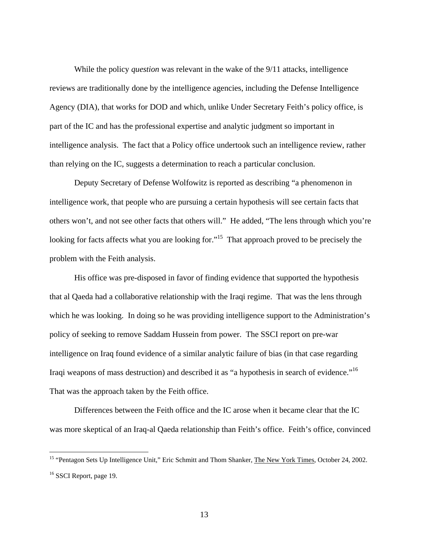While the policy *question* was relevant in the wake of the 9/11 attacks, intelligence reviews are traditionally done by the intelligence agencies, including the Defense Intelligence Agency (DIA), that works for DOD and which, unlike Under Secretary Feith's policy office, is part of the IC and has the professional expertise and analytic judgment so important in intelligence analysis. The fact that a Policy office undertook such an intelligence review, rather than relying on the IC, suggests a determination to reach a particular conclusion.

Deputy Secretary of Defense Wolfowitz is reported as describing "a phenomenon in intelligence work, that people who are pursuing a certain hypothesis will see certain facts that others won't, and not see other facts that others will." He added, "The lens through which you're looking for facts affects what you are looking for."<sup>15</sup> That approach proved to be precisely the problem with the Feith analysis.

His office was pre-disposed in favor of finding evidence that supported the hypothesis that al Qaeda had a collaborative relationship with the Iraqi regime. That was the lens through which he was looking. In doing so he was providing intelligence support to the Administration's policy of seeking to remove Saddam Hussein from power.The SSCI report on pre-war intelligence on Iraq found evidence of a similar analytic failure of bias (in that case regarding Iraqi weapons of mass destruction) and described it as "a hypothesis in search of evidence."[16](#page-12-1)  That was the approach taken by the Feith office.

Differences between the Feith office and the IC arose when it became clear that the IC was more skeptical of an Iraq-al Qaeda relationship than Feith's office. Feith's office, convinced

<span id="page-12-1"></span><span id="page-12-0"></span><sup>&</sup>lt;sup>15</sup> "Pentagon Sets Up Intelligence Unit," Eric Schmitt and Thom Shanker, The New York Times, October 24, 2002. <sup>16</sup> SSCI Report, page 19.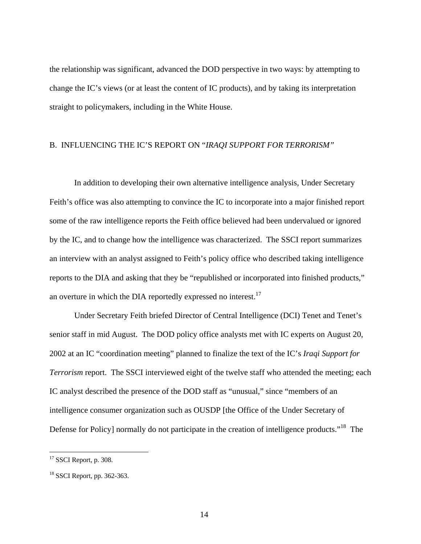the relationship was significant, advanced the DOD perspective in two ways: by attempting to change the IC's views (or at least the content of IC products), and by taking its interpretation straight to policymakers, including in the White House.

### B. INFLUENCING THE IC'S REPORT ON "*IRAQI SUPPORT FOR TERRORISM"*

In addition to developing their own alternative intelligence analysis, Under Secretary Feith's office was also attempting to convince the IC to incorporate into a major finished report some of the raw intelligence reports the Feith office believed had been undervalued or ignored by the IC, and to change how the intelligence was characterized. The SSCI report summarizes an interview with an analyst assigned to Feith's policy office who described taking intelligence reports to the DIA and asking that they be "republished or incorporated into finished products," an overture in which the DIA reportedly expressed no interest. $17$ 

Under Secretary Feith briefed Director of Central Intelligence (DCI) Tenet and Tenet's senior staff in mid August. The DOD policy office analysts met with IC experts on August 20, 2002 at an IC "coordination meeting" planned to finalize the text of the IC's *Iraqi Support for Terrorism* report. The SSCI interviewed eight of the twelve staff who attended the meeting; each IC analyst described the presence of the DOD staff as "unusual," since "members of an intelligence consumer organization such as OUSDP [the Office of the Under Secretary of Defense for Policy] normally do not participate in the creation of intelligence products."<sup>18</sup> The

<span id="page-13-0"></span> $17$  SSCI Report, p. 308.

<span id="page-13-1"></span> $18$  SSCI Report, pp. 362-363.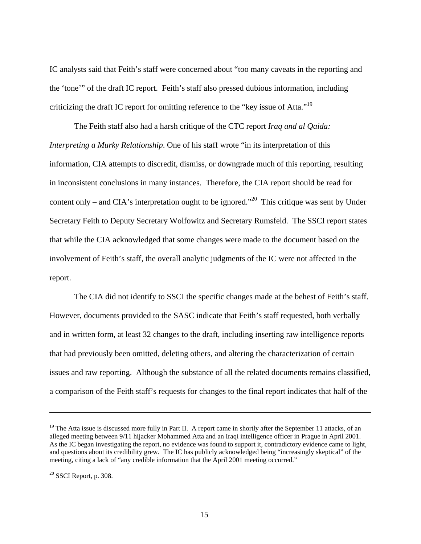IC analysts said that Feith's staff were concerned about "too many caveats in the reporting and the 'tone'" of the draft IC report. Feith's staff also pressed dubious information, including criticizing the draft IC report for omitting reference to the "key issue of Atta."<sup>19</sup>

The Feith staff also had a harsh critique of the CTC report *Iraq and al Qaida: Interpreting a Murky Relationship*. One of his staff wrote "in its interpretation of this information, CIA attempts to discredit, dismiss, or downgrade much of this reporting, resulting in inconsistent conclusions in many instances. Therefore, the CIA report should be read for content only – and CIA's interpretation ought to be ignored."<sup>20</sup> This critique was sent by Under Secretary Feith to Deputy Secretary Wolfowitz and Secretary Rumsfeld. The SSCI report states that while the CIA acknowledged that some changes were made to the document based on the involvement of Feith's staff, the overall analytic judgments of the IC were not affected in the report.

The CIA did not identify to SSCI the specific changes made at the behest of Feith's staff. However, documents provided to the SASC indicate that Feith's staff requested, both verbally and in written form, at least 32 changes to the draft, including inserting raw intelligence reports that had previously been omitted, deleting others, and altering the characterization of certain issues and raw reporting. Although the substance of all the related documents remains classified, a comparison of the Feith staff's requests for changes to the final report indicates that half of the

<span id="page-14-0"></span><sup>&</sup>lt;sup>19</sup> The Atta issue is discussed more fully in Part II. A report came in shortly after the September 11 attacks, of an alleged meeting between 9/11 hijacker Mohammed Atta and an Iraqi intelligence officer in Prague in April 2001. As the IC began investigating the report, no evidence was found to support it, contradictory evidence came to light, and questions about its credibility grew. The IC has publicly acknowledged being "increasingly skeptical" of the meeting, citing a lack of "any credible information that the April 2001 meeting occurred."

<span id="page-14-1"></span> $20$  SSCI Report, p. 308.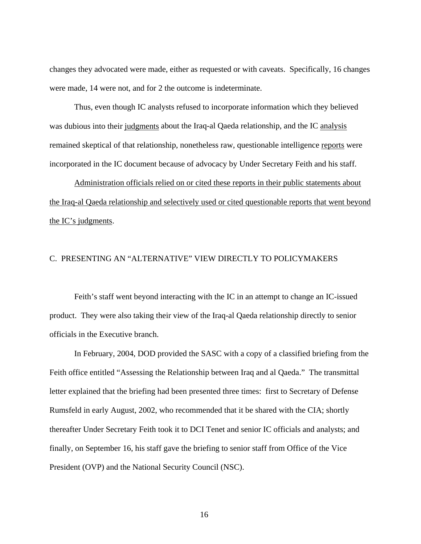changes they advocated were made, either as requested or with caveats. Specifically, 16 changes were made, 14 were not, and for 2 the outcome is indeterminate.

Thus, even though IC analysts refused to incorporate information which they believed was dubious into their judgments about the Iraq-al Qaeda relationship, and the IC analysis remained skeptical of that relationship, nonetheless raw, questionable intelligence reports were incorporated in the IC document because of advocacy by Under Secretary Feith and his staff.

 Administration officials relied on or cited these reports in their public statements about the Iraq-al Qaeda relationship and selectively used or cited questionable reports that went beyond the IC's judgments.

#### C. PRESENTING AN "ALTERNATIVE" VIEW DIRECTLY TO POLICYMAKERS

Feith's staff went beyond interacting with the IC in an attempt to change an IC-issued product. They were also taking their view of the Iraq-al Qaeda relationship directly to senior officials in the Executive branch.

In February, 2004, DOD provided the SASC with a copy of a classified briefing from the Feith office entitled "Assessing the Relationship between Iraq and al Qaeda." The transmittal letter explained that the briefing had been presented three times: first to Secretary of Defense Rumsfeld in early August, 2002, who recommended that it be shared with the CIA; shortly thereafter Under Secretary Feith took it to DCI Tenet and senior IC officials and analysts; and finally, on September 16, his staff gave the briefing to senior staff from Office of the Vice President (OVP) and the National Security Council (NSC).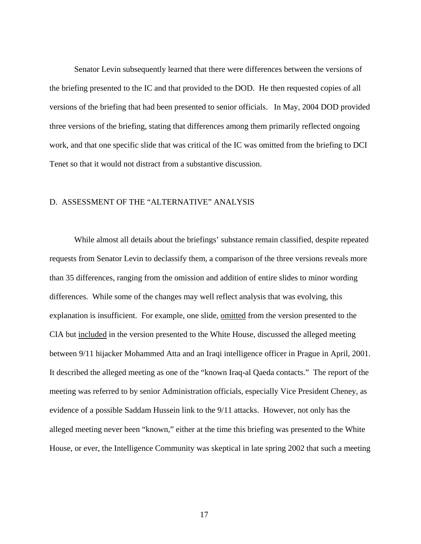Senator Levin subsequently learned that there were differences between the versions of the briefing presented to the IC and that provided to the DOD. He then requested copies of all versions of the briefing that had been presented to senior officials. In May, 2004 DOD provided three versions of the briefing, stating that differences among them primarily reflected ongoing work, and that one specific slide that was critical of the IC was omitted from the briefing to DCI Tenet so that it would not distract from a substantive discussion.

#### D. ASSESSMENT OF THE "ALTERNATIVE" ANALYSIS

While almost all details about the briefings' substance remain classified, despite repeated requests from Senator Levin to declassify them, a comparison of the three versions reveals more than 35 differences, ranging from the omission and addition of entire slides to minor wording differences. While some of the changes may well reflect analysis that was evolving, this explanation is insufficient. For example, one slide, omitted from the version presented to the CIA but included in the version presented to the White House, discussed the alleged meeting between 9/11 hijacker Mohammed Atta and an Iraqi intelligence officer in Prague in April, 2001. It described the alleged meeting as one of the "known Iraq-al Qaeda contacts." The report of the meeting was referred to by senior Administration officials, especially Vice President Cheney, as evidence of a possible Saddam Hussein link to the 9/11 attacks. However, not only has the alleged meeting never been "known," either at the time this briefing was presented to the White House, or ever, the Intelligence Community was skeptical in late spring 2002 that such a meeting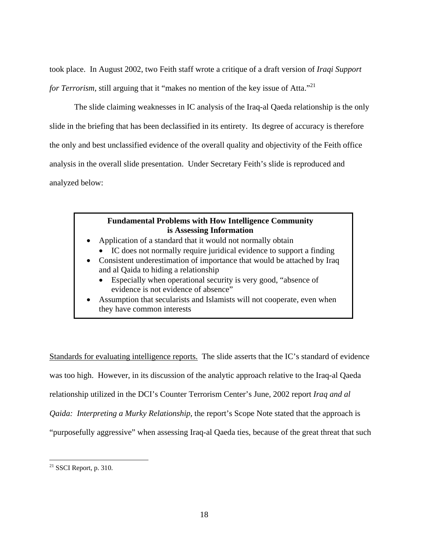took place. In August 2002, two Feith staff wrote a critique of a draft version of *Iraqi Support for Terrorism*, still arguing that it "makes no mention of the key issue of Atta."<sup>21</sup>

The slide claiming weaknesses in IC analysis of the Iraq-al Qaeda relationship is the only slide in the briefing that has been declassified in its entirety. Its degree of accuracy is therefore the only and best unclassified evidence of the overall quality and objectivity of the Feith office analysis in the overall slide presentation. Under Secretary Feith's slide is reproduced and analyzed below:

### **Fundamental Problems with How Intelligence Community is Assessing Information**

- Application of a standard that it would not normally obtain
	- IC does not normally require juridical evidence to support a finding
- Consistent underestimation of importance that would be attached by Iraq and al Qaida to hiding a relationship
	- Especially when operational security is very good, "absence of evidence is not evidence of absence"
- Assumption that secularists and Islamists will not cooperate, even when they have common interests

Standards for evaluating intelligence reports. The slide asserts that the IC's standard of evidence was too high. However, in its discussion of the analytic approach relative to the Iraq-al Qaeda relationship utilized in the DCI's Counter Terrorism Center's June, 2002 report *Iraq and al Qaida: Interpreting a Murky Relationship*, the report's Scope Note stated that the approach is "purposefully aggressive" when assessing Iraq-al Qaeda ties, because of the great threat that such

<u>.</u>

<span id="page-17-0"></span> $21$  SSCI Report, p. 310.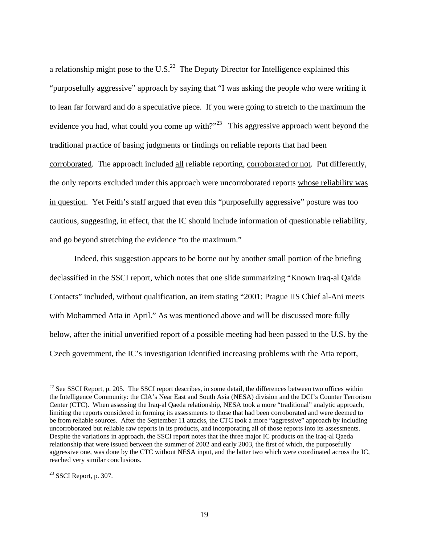a relationship might pose to the U.S. $^{22}$  The Deputy Director for Intelligence explained this "purposefully aggressive" approach by saying that "I was asking the people who were writing it to lean far forward and do a speculative piece. If you were going to stretch to the maximum the evidence you had, what could you come up with?"<sup>23</sup> This aggressive approach went beyond the traditional practice of basing judgments or findings on reliable reports that had been corroborated. The approach included all reliable reporting, corroborated or not. Put differently, the only reports excluded under this approach were uncorroborated reports whose reliability was in question. Yet Feith's staff argued that even this "purposefully aggressive" posture was too cautious, suggesting, in effect, that the IC should include information of questionable reliability, and go beyond stretching the evidence "to the maximum."

Indeed, this suggestion appears to be borne out by another small portion of the briefing declassified in the SSCI report, which notes that one slide summarizing "Known Iraq-al Qaida Contacts" included, without qualification, an item stating "2001: Prague IIS Chief al-Ani meets with Mohammed Atta in April." As was mentioned above and will be discussed more fully below, after the initial unverified report of a possible meeting had been passed to the U.S. by the Czech government, the IC's investigation identified increasing problems with the Atta report,

<span id="page-18-0"></span> $22$  See SSCI Report, p. 205. The SSCI report describes, in some detail, the differences between two offices within the Intelligence Community: the CIA's Near East and South Asia (NESA) division and the DCI's Counter Terrorism Center (CTC). When assessing the Iraq-al Qaeda relationship, NESA took a more "traditional" analytic approach, limiting the reports considered in forming its assessments to those that had been corroborated and were deemed to be from reliable sources. After the September 11 attacks, the CTC took a more "aggressive" approach by including uncorroborated but reliable raw reports in its products, and incorporating all of those reports into its assessments. Despite the variations in approach, the SSCI report notes that the three major IC products on the Iraq-al Qaeda relationship that were issued between the summer of 2002 and early 2003, the first of which, the purposefully aggressive one, was done by the CTC without NESA input, and the latter two which were coordinated across the IC, reached very similar conclusions.

<span id="page-18-1"></span> $23$  SSCI Report, p. 307.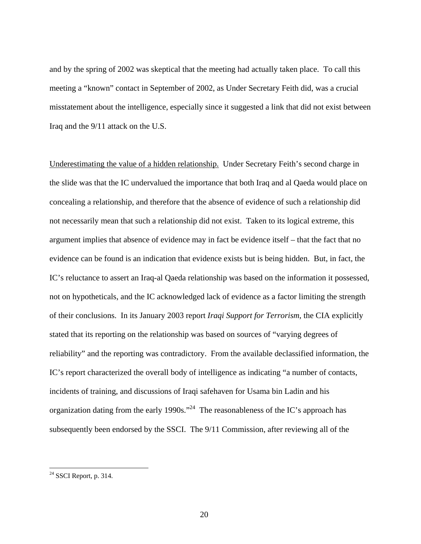and by the spring of 2002 was skeptical that the meeting had actually taken place. To call this meeting a "known" contact in September of 2002, as Under Secretary Feith did, was a crucial misstatement about the intelligence, especially since it suggested a link that did not exist between Iraq and the 9/11 attack on the U.S.

Underestimating the value of a hidden relationship. Under Secretary Feith's second charge in the slide was that the IC undervalued the importance that both Iraq and al Qaeda would place on concealing a relationship, and therefore that the absence of evidence of such a relationship did not necessarily mean that such a relationship did not exist. Taken to its logical extreme, this argument implies that absence of evidence may in fact be evidence itself – that the fact that no evidence can be found is an indication that evidence exists but is being hidden. But, in fact, the IC's reluctance to assert an Iraq-al Qaeda relationship was based on the information it possessed, not on hypotheticals, and the IC acknowledged lack of evidence as a factor limiting the strength of their conclusions. In its January 2003 report *Iraqi Support for Terrorism*, the CIA explicitly stated that its reporting on the relationship was based on sources of "varying degrees of reliability" and the reporting was contradictory. From the available declassified information, the IC's report characterized the overall body of intelligence as indicating "a number of contacts, incidents of training, and discussions of Iraqi safehaven for Usama bin Ladin and his organization dating from the early 1990s."<sup>24</sup> The reasonableness of the IC's approach has subsequently been endorsed by the SSCI. The 9/11 Commission, after reviewing all of the

<span id="page-19-0"></span> $24$  SSCI Report, p. 314.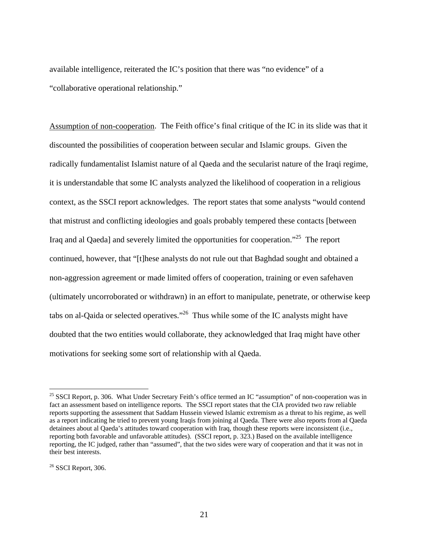available intelligence, reiterated the IC's position that there was "no evidence" of a "collaborative operational relationship."

Assumption of non-cooperation. The Feith office's final critique of the IC in its slide was that it discounted the possibilities of cooperation between secular and Islamic groups. Given the radically fundamentalist Islamist nature of al Qaeda and the secularist nature of the Iraqi regime, it is understandable that some IC analysts analyzed the likelihood of cooperation in a religious context, as the SSCI report acknowledges. The report states that some analysts "would contend that mistrust and conflicting ideologies and goals probably tempered these contacts [between Iraq and al Qaeda] and severely limited the opportunities for cooperation."[25](#page-20-0) The report continued, however, that "[t]hese analysts do not rule out that Baghdad sought and obtained a non-aggression agreement or made limited offers of cooperation, training or even safehaven (ultimately uncorroborated or withdrawn) in an effort to manipulate, penetrate, or otherwise keep tabs on al-Qaida or selected operatives."<sup>26</sup> Thus while some of the IC analysts might have doubted that the two entities would collaborate, they acknowledged that Iraq might have other motivations for seeking some sort of relationship with al Qaeda.

<span id="page-20-0"></span><sup>&</sup>lt;sup>25</sup> SSCI Report, p. 306. What Under Secretary Feith's office termed an IC "assumption" of non-cooperation was in fact an assessment based on intelligence reports. The SSCI report states that the CIA provided two raw reliable reports supporting the assessment that Saddam Hussein viewed Islamic extremism as a threat to his regime, as well as a report indicating he tried to prevent young Iraqis from joining al Qaeda. There were also reports from al Qaeda detainees about al Qaeda's attitudes toward cooperation with Iraq, though these reports were inconsistent (i.e., reporting both favorable and unfavorable attitudes). (SSCI report, p. 323.) Based on the available intelligence reporting, the IC judged, rather than "assumed", that the two sides were wary of cooperation and that it was not in their best interests.

<span id="page-20-1"></span> $26$  SSCI Report, 306.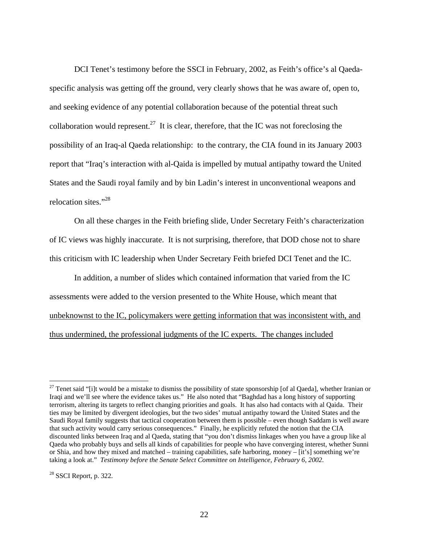DCI Tenet's testimony before the SSCI in February, 2002, as Feith's office's al Qaedaspecific analysis was getting off the ground, very clearly shows that he was aware of, open to, and seeking evidence of any potential collaboration because of the potential threat such collaboration would represent.<sup>27</sup> It is clear, therefore, that the IC was not foreclosing the possibility of an Iraq-al Qaeda relationship: to the contrary, the CIA found in its January 2003 report that "Iraq's interaction with al-Qaida is impelled by mutual antipathy toward the United States and the Saudi royal family and by bin Ladin's interest in unconventional weapons and relocation sites."[28](#page-21-1) 

On all these charges in the Feith briefing slide, Under Secretary Feith's characterization of IC views was highly inaccurate. It is not surprising, therefore, that DOD chose not to share this criticism with IC leadership when Under Secretary Feith briefed DCI Tenet and the IC.

In addition, a number of slides which contained information that varied from the IC assessments were added to the version presented to the White House, which meant that unbeknownst to the IC, policymakers were getting information that was inconsistent with, and thus undermined, the professional judgments of the IC experts. The changes included

<span id="page-21-0"></span> $27$  Tenet said "[i]t would be a mistake to dismiss the possibility of state sponsorship [of al Qaeda], whether Iranian or Iraqi and we'll see where the evidence takes us." He also noted that "Baghdad has a long history of supporting terrorism, altering its targets to reflect changing priorities and goals. It has also had contacts with al Qaida. Their ties may be limited by divergent ideologies, but the two sides' mutual antipathy toward the United States and the Saudi Royal family suggests that tactical cooperation between them is possible – even though Saddam is well aware that such activity would carry serious consequences." Finally, he explicitly refuted the notion that the CIA discounted links between Iraq and al Qaeda, stating that "you don't dismiss linkages when you have a group like al Qaeda who probably buys and sells all kinds of capabilities for people who have converging interest, whether Sunni or Shia, and how they mixed and matched – training capabilities, safe harboring, money – [it's] something we're taking a look at." *Testimony before the Senate Select Committee on Intelligence, February 6, 2002*.

<span id="page-21-1"></span> $28$  SSCI Report, p. 322.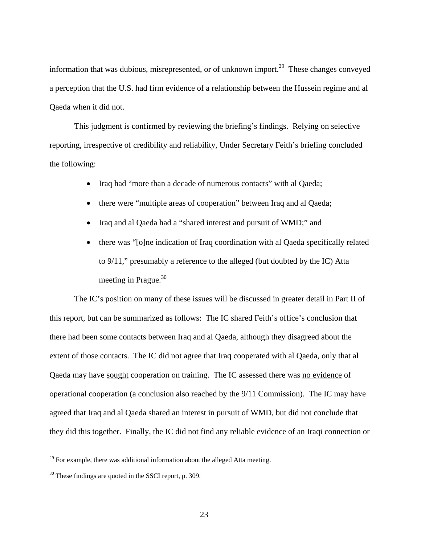information that was dubious, misrepresented, or of unknown import.<sup>29</sup> These changes conveyed a perception that the U.S. had firm evidence of a relationship between the Hussein regime and al Qaeda when it did not.

This judgment is confirmed by reviewing the briefing's findings. Relying on selective reporting, irrespective of credibility and reliability, Under Secretary Feith's briefing concluded the following:

- Iraq had "more than a decade of numerous contacts" with al Qaeda;
- there were "multiple areas of cooperation" between Iraq and al Qaeda;
- Iraq and al Qaeda had a "shared interest and pursuit of WMD;" and
- there was "[o]ne indication of Iraq coordination with al Qaeda specifically related to 9/11," presumably a reference to the alleged (but doubted by the IC) Atta meeting in Prague. $30<sup>30</sup>$

The IC's position on many of these issues will be discussed in greater detail in Part II of this report, but can be summarized as follows: The IC shared Feith's office's conclusion that there had been some contacts between Iraq and al Qaeda, although they disagreed about the extent of those contacts. The IC did not agree that Iraq cooperated with al Qaeda, only that al Qaeda may have sought cooperation on training. The IC assessed there was no evidence of operational cooperation (a conclusion also reached by the 9/11 Commission). The IC may have agreed that Iraq and al Qaeda shared an interest in pursuit of WMD, but did not conclude that they did this together. Finally, the IC did not find any reliable evidence of an Iraqi connection or

<span id="page-22-0"></span> $29$  For example, there was additional information about the alleged Atta meeting.

<span id="page-22-1"></span><sup>&</sup>lt;sup>30</sup> These findings are quoted in the SSCI report, p. 309.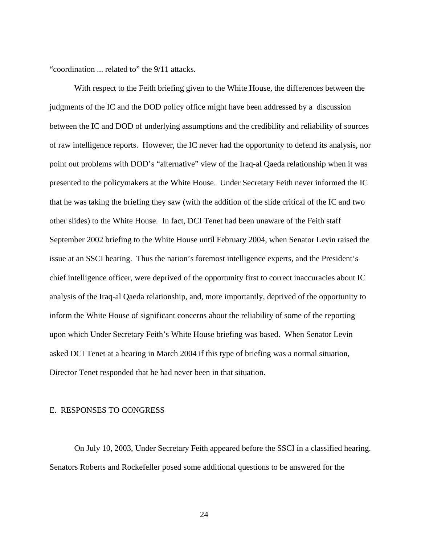"coordination ... related to" the 9/11 attacks.

With respect to the Feith briefing given to the White House, the differences between the judgments of the IC and the DOD policy office might have been addressed by a discussion between the IC and DOD of underlying assumptions and the credibility and reliability of sources of raw intelligence reports. However, the IC never had the opportunity to defend its analysis, nor point out problems with DOD's "alternative" view of the Iraq-al Qaeda relationship when it was presented to the policymakers at the White House. Under Secretary Feith never informed the IC that he was taking the briefing they saw (with the addition of the slide critical of the IC and two other slides) to the White House. In fact, DCI Tenet had been unaware of the Feith staff September 2002 briefing to the White House until February 2004, when Senator Levin raised the issue at an SSCI hearing. Thus the nation's foremost intelligence experts, and the President's chief intelligence officer, were deprived of the opportunity first to correct inaccuracies about IC analysis of the Iraq-al Qaeda relationship, and, more importantly, deprived of the opportunity to inform the White House of significant concerns about the reliability of some of the reporting upon which Under Secretary Feith's White House briefing was based. When Senator Levin asked DCI Tenet at a hearing in March 2004 if this type of briefing was a normal situation, Director Tenet responded that he had never been in that situation.

#### E. RESPONSES TO CONGRESS

On July 10, 2003, Under Secretary Feith appeared before the SSCI in a classified hearing. Senators Roberts and Rockefeller posed some additional questions to be answered for the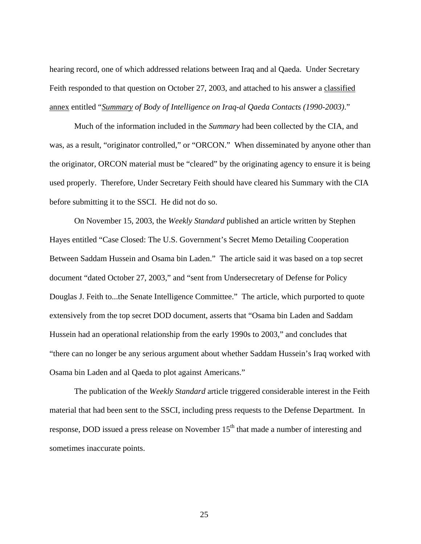hearing record, one of which addressed relations between Iraq and al Qaeda. Under Secretary Feith responded to that question on October 27, 2003, and attached to his answer a classified annex entitled "*Summary of Body of Intelligence on Iraq-al Qaeda Contacts (1990-2003)*."

Much of the information included in the *Summary* had been collected by the CIA, and was, as a result, "originator controlled," or "ORCON." When disseminated by anyone other than the originator, ORCON material must be "cleared" by the originating agency to ensure it is being used properly. Therefore, Under Secretary Feith should have cleared his Summary with the CIA before submitting it to the SSCI. He did not do so.

On November 15, 2003, the *Weekly Standard* published an article written by Stephen Hayes entitled "Case Closed: The U.S. Government's Secret Memo Detailing Cooperation Between Saddam Hussein and Osama bin Laden." The article said it was based on a top secret document "dated October 27, 2003," and "sent from Undersecretary of Defense for Policy Douglas J. Feith to...the Senate Intelligence Committee." The article, which purported to quote extensively from the top secret DOD document, asserts that "Osama bin Laden and Saddam Hussein had an operational relationship from the early 1990s to 2003," and concludes that "there can no longer be any serious argument about whether Saddam Hussein's Iraq worked with Osama bin Laden and al Qaeda to plot against Americans."

The publication of the *Weekly Standard* article triggered considerable interest in the Feith material that had been sent to the SSCI, including press requests to the Defense Department. In response, DOD issued a press release on November 15<sup>th</sup> that made a number of interesting and sometimes inaccurate points.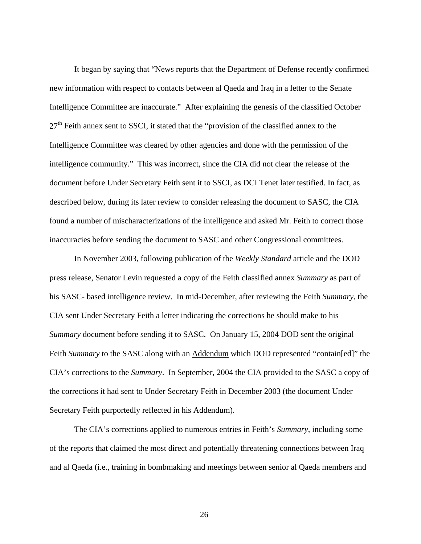It began by saying that "News reports that the Department of Defense recently confirmed new information with respect to contacts between al Qaeda and Iraq in a letter to the Senate Intelligence Committee are inaccurate." After explaining the genesis of the classified October  $27<sup>th</sup>$  Feith annex sent to SSCI, it stated that the "provision of the classified annex to the Intelligence Committee was cleared by other agencies and done with the permission of the intelligence community." This was incorrect, since the CIA did not clear the release of the document before Under Secretary Feith sent it to SSCI, as DCI Tenet later testified. In fact, as described below, during its later review to consider releasing the document to SASC, the CIA found a number of mischaracterizations of the intelligence and asked Mr. Feith to correct those inaccuracies before sending the document to SASC and other Congressional committees.

In November 2003, following publication of the *Weekly Standard* article and the DOD press release, Senator Levin requested a copy of the Feith classified annex *Summary* as part of his SASC- based intelligence review. In mid-December, after reviewing the Feith *Summary*, the CIA sent Under Secretary Feith a letter indicating the corrections he should make to his *Summary* document before sending it to SASC. On January 15, 2004 DOD sent the original Feith *Summary* to the SASC along with an Addendum which DOD represented "contain[ed]" the CIA's corrections to the *Summary*. In September, 2004 the CIA provided to the SASC a copy of the corrections it had sent to Under Secretary Feith in December 2003 (the document Under Secretary Feith purportedly reflected in his Addendum).

The CIA's corrections applied to numerous entries in Feith's *Summary*, including some of the reports that claimed the most direct and potentially threatening connections between Iraq and al Qaeda (i.e., training in bombmaking and meetings between senior al Qaeda members and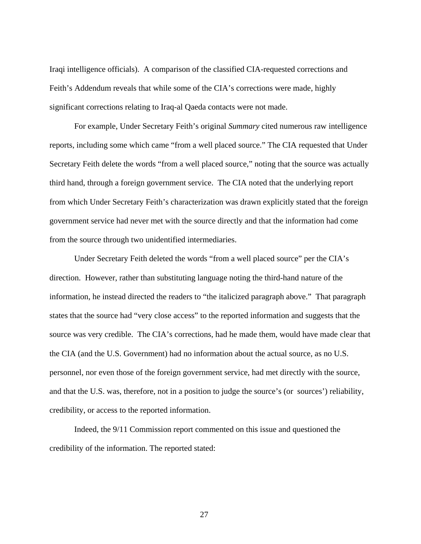Iraqi intelligence officials). A comparison of the classified CIA-requested corrections and Feith's Addendum reveals that while some of the CIA's corrections were made, highly significant corrections relating to Iraq-al Qaeda contacts were not made.

For example, Under Secretary Feith's original *Summary* cited numerous raw intelligence reports, including some which came "from a well placed source." The CIA requested that Under Secretary Feith delete the words "from a well placed source," noting that the source was actually third hand, through a foreign government service. The CIA noted that the underlying report from which Under Secretary Feith's characterization was drawn explicitly stated that the foreign government service had never met with the source directly and that the information had come from the source through two unidentified intermediaries.

Under Secretary Feith deleted the words "from a well placed source" per the CIA's direction. However, rather than substituting language noting the third-hand nature of the information, he instead directed the readers to "the italicized paragraph above." That paragraph states that the source had "very close access" to the reported information and suggests that the source was very credible. The CIA's corrections, had he made them, would have made clear that the CIA (and the U.S. Government) had no information about the actual source, as no U.S. personnel, nor even those of the foreign government service, had met directly with the source, and that the U.S. was, therefore, not in a position to judge the source's (or sources') reliability, credibility, or access to the reported information.

Indeed, the 9/11 Commission report commented on this issue and questioned the credibility of the information. The reported stated: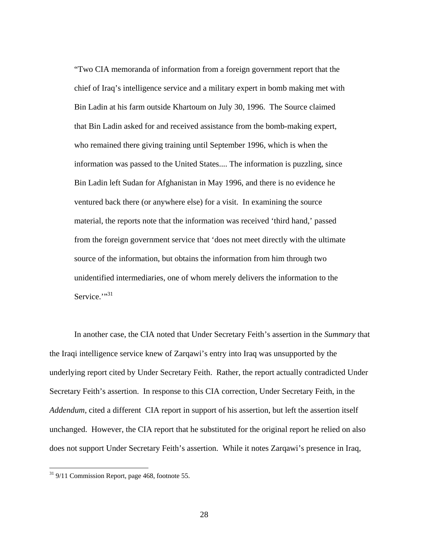"Two CIA memoranda of information from a foreign government report that the chief of Iraq's intelligence service and a military expert in bomb making met with Bin Ladin at his farm outside Khartoum on July 30, 1996. The Source claimed that Bin Ladin asked for and received assistance from the bomb-making expert, who remained there giving training until September 1996, which is when the information was passed to the United States.... The information is puzzling, since Bin Ladin left Sudan for Afghanistan in May 1996, and there is no evidence he ventured back there (or anywhere else) for a visit. In examining the source material, the reports note that the information was received 'third hand,' passed from the foreign government service that 'does not meet directly with the ultimate source of the information, but obtains the information from him through two unidentified intermediaries, one of whom merely delivers the information to the Service."<sup>31</sup>

In another case, the CIA noted that Under Secretary Feith's assertion in the *Summary* that the Iraqi intelligence service knew of Zarqawi's entry into Iraq was unsupported by the underlying report cited by Under Secretary Feith. Rather, the report actually contradicted Under Secretary Feith's assertion. In response to this CIA correction, Under Secretary Feith, in the *Addendum*, cited a different CIA report in support of his assertion, but left the assertion itself unchanged. However, the CIA report that he substituted for the original report he relied on also does not support Under Secretary Feith's assertion. While it notes Zarqawi's presence in Iraq,

<span id="page-27-0"></span> $31$  9/11 Commission Report, page 468, footnote 55.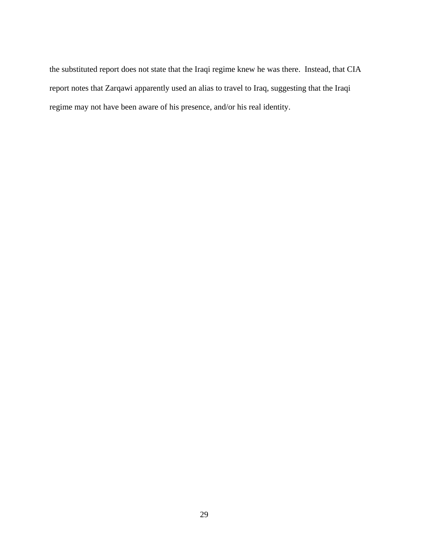the substituted report does not state that the Iraqi regime knew he was there. Instead, that CIA report notes that Zarqawi apparently used an alias to travel to Iraq, suggesting that the Iraqi regime may not have been aware of his presence, and/or his real identity.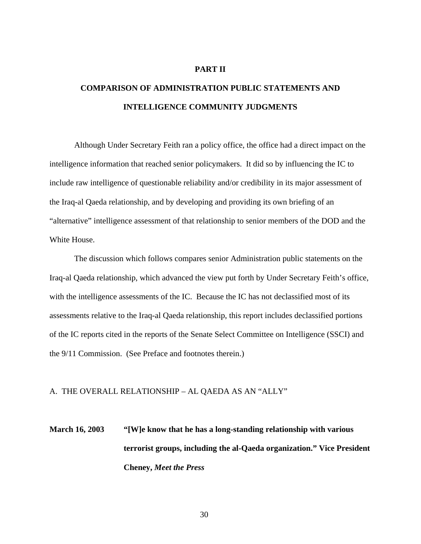#### **PART II**

# **COMPARISON OF ADMINISTRATION PUBLIC STATEMENTS AND INTELLIGENCE COMMUNITY JUDGMENTS**

Although Under Secretary Feith ran a policy office, the office had a direct impact on the intelligence information that reached senior policymakers. It did so by influencing the IC to include raw intelligence of questionable reliability and/or credibility in its major assessment of the Iraq-al Qaeda relationship, and by developing and providing its own briefing of an "alternative" intelligence assessment of that relationship to senior members of the DOD and the White House.

The discussion which follows compares senior Administration public statements on the Iraq-al Qaeda relationship, which advanced the view put forth by Under Secretary Feith's office, with the intelligence assessments of the IC. Because the IC has not declassified most of its assessments relative to the Iraq-al Qaeda relationship, this report includes declassified portions of the IC reports cited in the reports of the Senate Select Committee on Intelligence (SSCI) and the 9/11 Commission. (See Preface and footnotes therein.)

#### A. THE OVERALL RELATIONSHIP – AL QAEDA AS AN "ALLY"

# **March 16, 2003 "[W]e know that he has a long-standing relationship with various terrorist groups, including the al-Qaeda organization." Vice President Cheney,** *Meet the Press*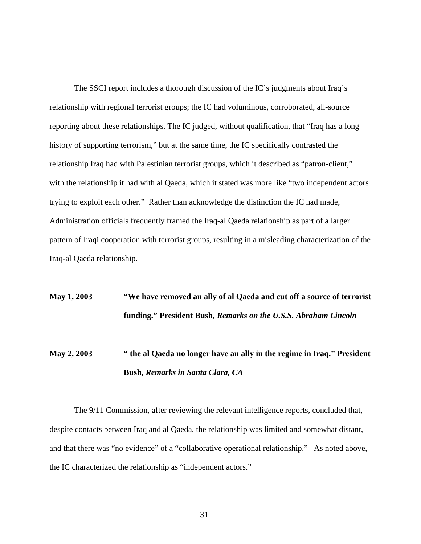The SSCI report includes a thorough discussion of the IC's judgments about Iraq's relationship with regional terrorist groups; the IC had voluminous, corroborated, all-source reporting about these relationships. The IC judged, without qualification, that "Iraq has a long history of supporting terrorism," but at the same time, the IC specifically contrasted the relationship Iraq had with Palestinian terrorist groups, which it described as "patron-client," with the relationship it had with al Qaeda, which it stated was more like "two independent actors trying to exploit each other." Rather than acknowledge the distinction the IC had made, Administration officials frequently framed the Iraq-al Qaeda relationship as part of a larger pattern of Iraqi cooperation with terrorist groups, resulting in a misleading characterization of the Iraq-al Qaeda relationship.

## **May 1, 2003 "We have removed an ally of al Qaeda and cut off a source of terrorist funding." President Bush,** *Remarks on the U.S.S. Abraham Lincoln*

## **May 2, 2003 " the al Qaeda no longer have an ally in the regime in Iraq." President Bush,** *Remarks in Santa Clara, CA*

The 9/11 Commission, after reviewing the relevant intelligence reports, concluded that, despite contacts between Iraq and al Qaeda, the relationship was limited and somewhat distant, and that there was "no evidence" of a "collaborative operational relationship." As noted above, the IC characterized the relationship as "independent actors."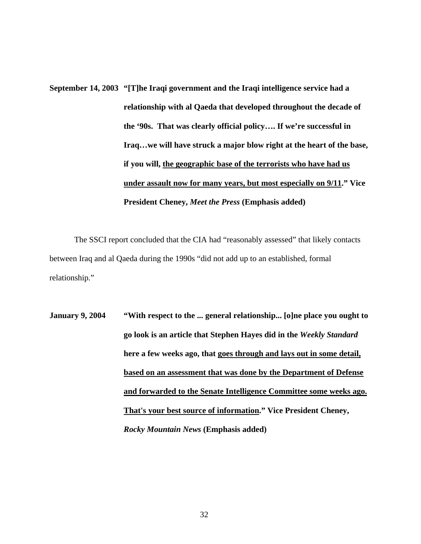**September 14, 2003 "[T]he Iraqi government and the Iraqi intelligence service had a relationship with al Qaeda that developed throughout the decade of the '90s. That was clearly official policy…. If we're successful in Iraq…we will have struck a major blow right at the heart of the base, if you will, the geographic base of the terrorists who have had us under assault now for many years, but most especially on 9/11." Vice President Cheney,** *Meet the Press* **(Emphasis added)** 

The SSCI report concluded that the CIA had "reasonably assessed" that likely contacts between Iraq and al Qaeda during the 1990s "did not add up to an established, formal relationship."

**January 9, 2004 "With respect to the ... general relationship... [o]ne place you ought to go look is an article that Stephen Hayes did in the** *Weekly Standard* **here a few weeks ago, that goes through and lays out in some detail, based on an assessment that was done by the Department of Defense and forwarded to the Senate Intelligence Committee some weeks ago. That's your best source of information." Vice President Cheney,**  *Rocky Mountain News* **(Emphasis added)**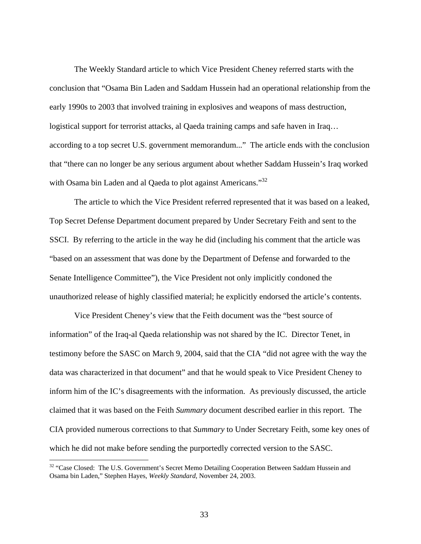The Weekly Standard article to which Vice President Cheney referred starts with the conclusion that "Osama Bin Laden and Saddam Hussein had an operational relationship from the early 1990s to 2003 that involved training in explosives and weapons of mass destruction, logistical support for terrorist attacks, al Qaeda training camps and safe haven in Iraq… according to a top secret U.S. government memorandum..." The article ends with the conclusion that "there can no longer be any serious argument about whether Saddam Hussein's Iraq worked with Osama bin Laden and al Qaeda to plot against Americans."<sup>32</sup>

The article to which the Vice President referred represented that it was based on a leaked, Top Secret Defense Department document prepared by Under Secretary Feith and sent to the SSCI. By referring to the article in the way he did (including his comment that the article was "based on an assessment that was done by the Department of Defense and forwarded to the Senate Intelligence Committee"), the Vice President not only implicitly condoned the unauthorized release of highly classified material; he explicitly endorsed the article's contents.

Vice President Cheney's view that the Feith document was the "best source of information" of the Iraq-al Qaeda relationship was not shared by the IC. Director Tenet, in testimony before the SASC on March 9, 2004, said that the CIA "did not agree with the way the data was characterized in that document" and that he would speak to Vice President Cheney to inform him of the IC's disagreements with the information. As previously discussed, the article claimed that it was based on the Feith *Summary* document described earlier in this report. The CIA provided numerous corrections to that *Summary* to Under Secretary Feith, some key ones of which he did not make before sending the purportedly corrected version to the SASC.

<u>.</u>

<span id="page-32-0"></span><sup>&</sup>lt;sup>32</sup> "Case Closed: The U.S. Government's Secret Memo Detailing Cooperation Between Saddam Hussein and Osama bin Laden," Stephen Hayes, *Weekly Standard*, November 24, 2003.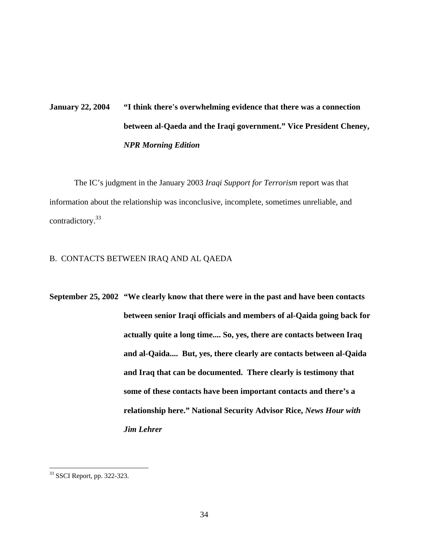# **January 22, 2004 "I think there's overwhelming evidence that there was a connection between al-Qaeda and the Iraqi government." Vice President Cheney,** *NPR Morning Edition*

The IC's judgment in the January 2003 *Iraqi Support for Terrorism* report was that information about the relationship was inconclusive, incomplete, sometimes unreliable, and contradictory.[33](#page-33-0)

#### B. CONTACTS BETWEEN IRAQ AND AL QAEDA

**September 25, 2002 "We clearly know that there were in the past and have been contacts between senior Iraqi officials and members of al-Qaida going back for actually quite a long time.... So, yes, there are contacts between Iraq and al-Qaida.... But, yes, there clearly are contacts between al-Qaida and Iraq that can be documented. There clearly is testimony that some of these contacts have been important contacts and there's a relationship here." National Security Advisor Rice,** *News Hour with Jim Lehrer*

<span id="page-33-0"></span><sup>33</sup> SSCI Report, pp. 322-323.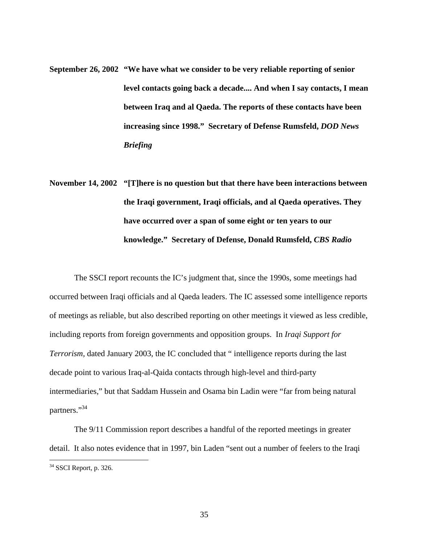- **September 26, 2002 "We have what we consider to be very reliable reporting of senior level contacts going back a decade.... And when I say contacts, I mean between Iraq and al Qaeda. The reports of these contacts have been increasing since 1998." Secretary of Defense Rumsfeld,** *DOD News Briefing*
- **November 14, 2002 "[T]here is no question but that there have been interactions between the Iraqi government, Iraqi officials, and al Qaeda operatives. They have occurred over a span of some eight or ten years to our knowledge." Secretary of Defense, Donald Rumsfeld,** *CBS Radio*

The SSCI report recounts the IC's judgment that, since the 1990s, some meetings had occurred between Iraqi officials and al Qaeda leaders. The IC assessed some intelligence reports of meetings as reliable, but also described reporting on other meetings it viewed as less credible, including reports from foreign governments and opposition groups. In *Iraqi Support for Terrorism,* dated January 2003, the IC concluded that " intelligence reports during the last decade point to various Iraq-al-Qaida contacts through high-level and third-party intermediaries," but that Saddam Hussein and Osama bin Ladin were "far from being natural partners."<sup>34</sup>

The 9/11 Commission report describes a handful of the reported meetings in greater detail. It also notes evidence that in 1997, bin Laden "sent out a number of feelers to the Iraqi

<u>.</u>

<span id="page-34-0"></span> $34$  SSCI Report, p. 326.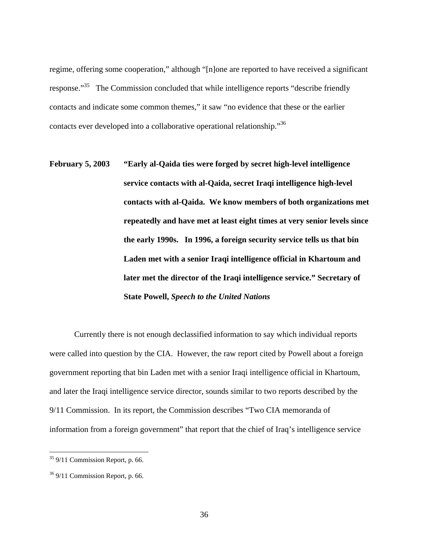regime, offering some cooperation," although "[n]one are reported to have received a significant response."<sup>35</sup> The Commission concluded that while intelligence reports "describe friendly" contacts and indicate some common themes," it saw "no evidence that these or the earlier contacts ever developed into a collaborative operational relationship.<sup>356</sup>

**February 5, 2003 "Early al-Qaida ties were forged by secret high-level intelligence service contacts with al-Qaida, secret Iraqi intelligence high-level contacts with al-Qaida. We know members of both organizations met repeatedly and have met at least eight times at very senior levels since the early 1990s. In 1996, a foreign security service tells us that bin Laden met with a senior Iraqi intelligence official in Khartoum and later met the director of the Iraqi intelligence service." Secretary of State Powell,** *Speech to the United Nations*

Currently there is not enough declassified information to say which individual reports were called into question by the CIA. However, the raw report cited by Powell about a foreign government reporting that bin Laden met with a senior Iraqi intelligence official in Khartoum, and later the Iraqi intelligence service director, sounds similar to two reports described by the 9/11 Commission. In its report, the Commission describes "Two CIA memoranda of information from a foreign government" that report that the chief of Iraq's intelligence service

<span id="page-35-0"></span> $35$  9/11 Commission Report, p. 66.

<span id="page-35-1"></span> $36$  9/11 Commission Report, p. 66.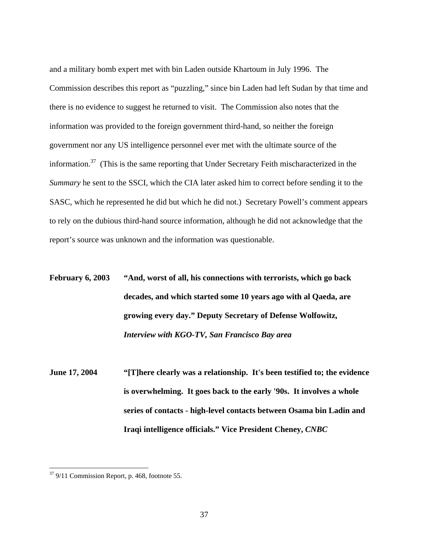and a military bomb expert met with bin Laden outside Khartoum in July 1996. The Commission describes this report as "puzzling," since bin Laden had left Sudan by that time and there is no evidence to suggest he returned to visit. The Commission also notes that the information was provided to the foreign government third-hand, so neither the foreign government nor any US intelligence personnel ever met with the ultimate source of the information.[37](#page-36-0) (This is the same reporting that Under Secretary Feith mischaracterized in the *Summary* he sent to the SSCI, which the CIA later asked him to correct before sending it to the SASC, which he represented he did but which he did not.) Secretary Powell's comment appears to rely on the dubious third-hand source information, although he did not acknowledge that the report's source was unknown and the information was questionable.

**February 6, 2003 "And, worst of all, his connections with terrorists, which go back decades, and which started some 10 years ago with al Qaeda, are growing every day." Deputy Secretary of Defense Wolfowitz,**  *Interview with KGO-TV, San Francisco Bay area*

**June 17, 2004 "[T]here clearly was a relationship. It's been testified to; the evidence is overwhelming. It goes back to the early '90s. It involves a whole series of contacts - high-level contacts between Osama bin Ladin and Iraqi intelligence officials." Vice President Cheney,** *CNBC* 

<span id="page-36-0"></span> $37$  9/11 Commission Report, p. 468, footnote 55.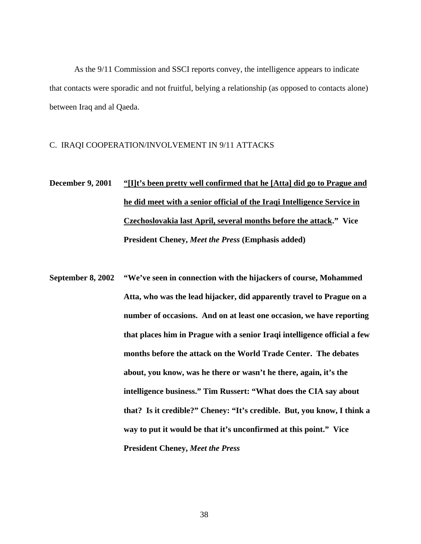As the 9/11 Commission and SSCI reports convey, the intelligence appears to indicate that contacts were sporadic and not fruitful, belying a relationship (as opposed to contacts alone) between Iraq and al Qaeda.

#### C. IRAQI COOPERATION/INVOLVEMENT IN 9/11 ATTACKS

# **December 9, 2001 "[I]t's been pretty well confirmed that he [Atta] did go to Prague and he did meet with a senior official of the Iraqi Intelligence Service in Czechoslovakia last April, several months before the attack." Vice President Cheney,** *Meet the Press* **(Emphasis added)**

**September 8, 2002 "We've seen in connection with the hijackers of course, Mohammed Atta, who was the lead hijacker, did apparently travel to Prague on a number of occasions. And on at least one occasion, we have reporting that places him in Prague with a senior Iraqi intelligence official a few months before the attack on the World Trade Center. The debates about, you know, was he there or wasn't he there, again, it's the intelligence business." Tim Russert: "What does the CIA say about that? Is it credible?" Cheney: "It's credible. But, you know, I think a way to put it would be that it's unconfirmed at this point." Vice President Cheney,** *Meet the Press*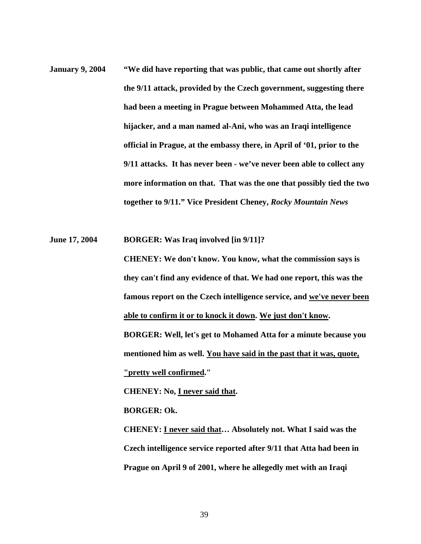**January 9, 2004 "We did have reporting that was public, that came out shortly after the 9/11 attack, provided by the Czech government, suggesting there had been a meeting in Prague between Mohammed Atta, the lead hijacker, and a man named al-Ani, who was an Iraqi intelligence official in Prague, at the embassy there, in April of '01, prior to the 9/11 attacks. It has never been - we've never been able to collect any more information on that. That was the one that possibly tied the two together to 9/11." Vice President Cheney,** *Rocky Mountain News*

**June 17, 2004 BORGER: Was Iraq involved [in 9/11]?** 

**CHENEY: We don't know. You know, what the commission says is they can't find any evidence of that. We had one report, this was the famous report on the Czech intelligence service, and we've never been able to confirm it or to knock it down. We just don't know. BORGER: Well, let's get to Mohamed Atta for a minute because you mentioned him as well. You have said in the past that it was, quote, "pretty well confirmed."** 

**CHENEY: No, I never said that.** 

**BORGER: Ok.** 

**CHENEY: I never said that… Absolutely not. What I said was the Czech intelligence service reported after 9/11 that Atta had been in Prague on April 9 of 2001, where he allegedly met with an Iraqi**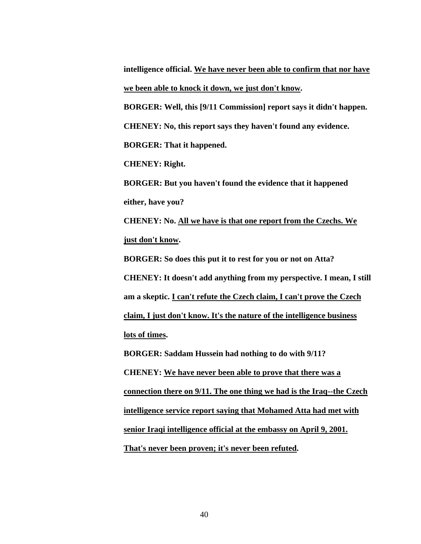**intelligence official. We have never been able to confirm that nor have we been able to knock it down, we just don't know.** 

**BORGER: Well, this [9/11 Commission] report says it didn't happen. CHENEY: No, this report says they haven't found any evidence.** 

**BORGER: That it happened.** 

**CHENEY: Right.** 

**BORGER: But you haven't found the evidence that it happened either, have you?** 

**CHENEY: No. All we have is that one report from the Czechs. We just don't know.** 

**BORGER: So does this put it to rest for you or not on Atta? CHENEY: It doesn't add anything from my perspective. I mean, I still am a skeptic. I can't refute the Czech claim, I can't prove the Czech claim, I just don't know. It's the nature of the intelligence business lots of times.** 

**BORGER: Saddam Hussein had nothing to do with 9/11? CHENEY: We have never been able to prove that there was a connection there on 9/11. The one thing we had is the Iraq--the Czech intelligence service report saying that Mohamed Atta had met with senior Iraqi intelligence official at the embassy on April 9, 2001. That's never been proven; it's never been refuted.**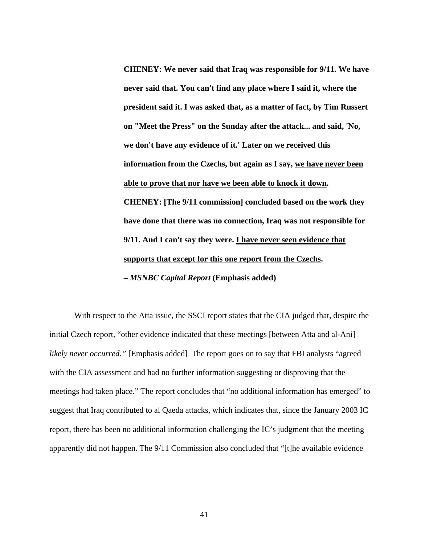**CHENEY: We never said that Iraq was responsible for 9/11. We have never said that. You can't find any place where I said it, where the president said it. I was asked that, as a matter of fact, by Tim Russert on "Meet the Press" on the Sunday after the attack... and said, 'No, we don't have any evidence of it.' Later on we received this information from the Czechs, but again as I say, we have never been able to prove that nor have we been able to knock it down. CHENEY: [The 9/11 commission] concluded based on the work they have done that there was no connection, Iraq was not responsible for 9/11. And I can't say they were. I have never seen evidence that supports that except for this one report from the Czechs. –** *MSNBC Capital Report* **(Emphasis added)** 

With respect to the Atta issue, the SSCI report states that the CIA judged that, despite the initial Czech report, "other evidence indicated that these meetings [between Atta and al-Ani] *likely never occurred.*" [Emphasis added] The report goes on to say that FBI analysts "agreed with the CIA assessment and had no further information suggesting or disproving that the meetings had taken place." The report concludes that "no additional information has emerged" to suggest that Iraq contributed to al Qaeda attacks, which indicates that, since the January 2003 IC report, there has been no additional information challenging the IC's judgment that the meeting apparently did not happen. The 9/11 Commission also concluded that "[t]he available evidence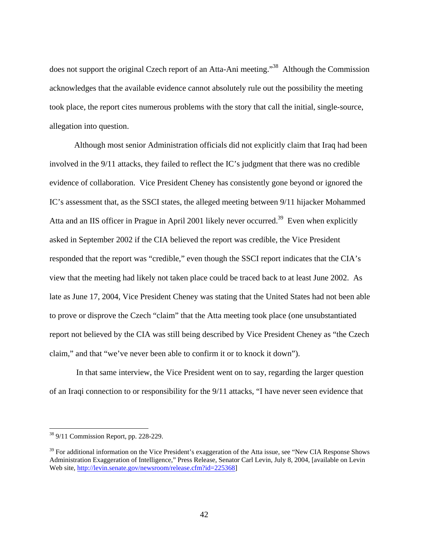does not support the original Czech report of an Atta-Ani meeting."<sup>38</sup> Although the Commission acknowledges that the available evidence cannot absolutely rule out the possibility the meeting took place, the report cites numerous problems with the story that call the initial, single-source, allegation into question.

Although most senior Administration officials did not explicitly claim that Iraq had been involved in the 9/11 attacks, they failed to reflect the IC's judgment that there was no credible evidence of collaboration. Vice President Cheney has consistently gone beyond or ignored the IC's assessment that, as the SSCI states, the alleged meeting between 9/11 hijacker Mohammed Atta and an IIS officer in Prague in April 2001 likely never occurred.<sup>39</sup> Even when explicitly asked in September 2002 if the CIA believed the report was credible, the Vice President responded that the report was "credible," even though the SSCI report indicates that the CIA's view that the meeting had likely not taken place could be traced back to at least June 2002. As late as June 17, 2004, Vice President Cheney was stating that the United States had not been able to prove or disprove the Czech "claim" that the Atta meeting took place (one unsubstantiated report not believed by the CIA was still being described by Vice President Cheney as "the Czech claim," and that "we've never been able to confirm it or to knock it down").

 In that same interview, the Vice President went on to say, regarding the larger question of an Iraqi connection to or responsibility for the 9/11 attacks, "I have never seen evidence that

<span id="page-41-0"></span> $38$  9/11 Commission Report, pp. 228-229.

<span id="page-41-1"></span><sup>&</sup>lt;sup>39</sup> For additional information on the Vice President's exaggeration of the Atta issue, see "New CIA Response Shows Administration Exaggeration of Intelligence," Press Release, Senator Carl Levin, July 8, 2004, [available on Levin Web site,<http://levin.senate.gov/newsroom/release.cfm?id=225368>]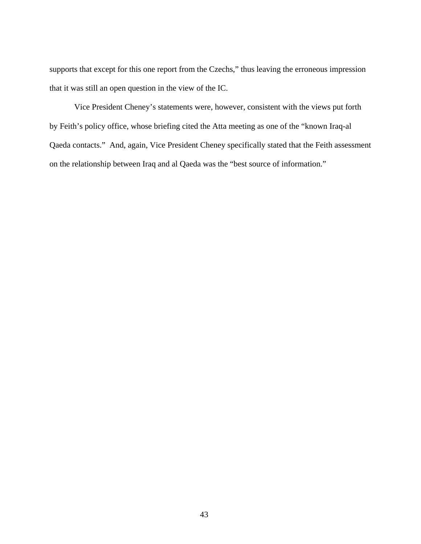supports that except for this one report from the Czechs," thus leaving the erroneous impression that it was still an open question in the view of the IC.

Vice President Cheney's statements were, however, consistent with the views put forth by Feith's policy office, whose briefing cited the Atta meeting as one of the "known Iraq-al Qaeda contacts." And, again, Vice President Cheney specifically stated that the Feith assessment on the relationship between Iraq and al Qaeda was the "best source of information."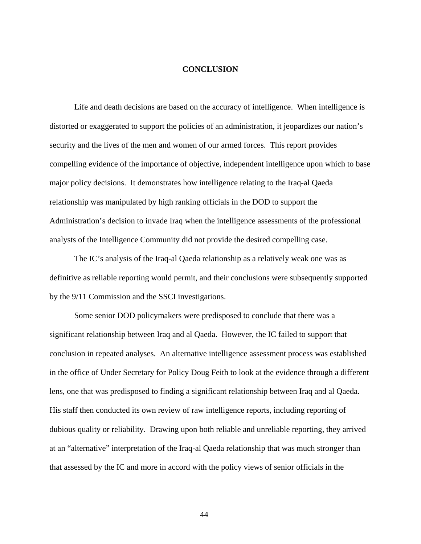#### **CONCLUSION**

Life and death decisions are based on the accuracy of intelligence. When intelligence is distorted or exaggerated to support the policies of an administration, it jeopardizes our nation's security and the lives of the men and women of our armed forces. This report provides compelling evidence of the importance of objective, independent intelligence upon which to base major policy decisions. It demonstrates how intelligence relating to the Iraq-al Qaeda relationship was manipulated by high ranking officials in the DOD to support the Administration's decision to invade Iraq when the intelligence assessments of the professional analysts of the Intelligence Community did not provide the desired compelling case.

The IC's analysis of the Iraq-al Qaeda relationship as a relatively weak one was as definitive as reliable reporting would permit, and their conclusions were subsequently supported by the 9/11 Commission and the SSCI investigations.

Some senior DOD policymakers were predisposed to conclude that there was a significant relationship between Iraq and al Qaeda. However, the IC failed to support that conclusion in repeated analyses. An alternative intelligence assessment process was established in the office of Under Secretary for Policy Doug Feith to look at the evidence through a different lens, one that was predisposed to finding a significant relationship between Iraq and al Qaeda. His staff then conducted its own review of raw intelligence reports, including reporting of dubious quality or reliability. Drawing upon both reliable and unreliable reporting, they arrived at an "alternative" interpretation of the Iraq-al Qaeda relationship that was much stronger than that assessed by the IC and more in accord with the policy views of senior officials in the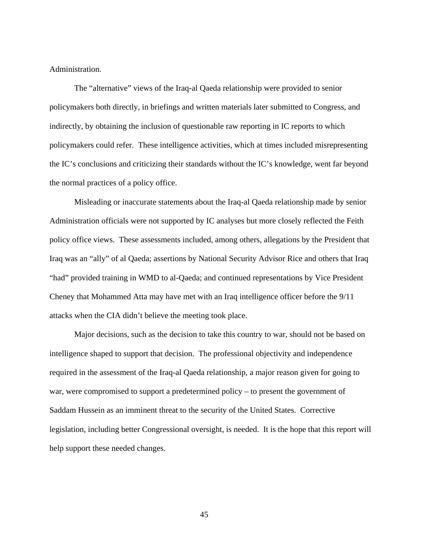Administration.

The "alternative" views of the Iraq-al Qaeda relationship were provided to senior policymakers both directly, in briefings and written materials later submitted to Congress, and indirectly, by obtaining the inclusion of questionable raw reporting in IC reports to which policymakers could refer.These intelligence activities, which at times included misrepresenting the IC's conclusions and criticizing their standards without the IC's knowledge, went far beyond the normal practices of a policy office.

Misleading or inaccurate statements about the Iraq-al Qaeda relationship made by senior Administration officials were not supported by IC analyses but more closely reflected the Feith policy office views. These assessments included, among others, allegations by the President that Iraq was an "ally" of al Qaeda; assertions by National Security Advisor Rice and others that Iraq "had" provided training in WMD to al-Qaeda; and continued representations by Vice President Cheney that Mohammed Atta may have met with an Iraq intelligence officer before the 9/11 attacks when the CIA didn't believe the meeting took place.

Major decisions, such as the decision to take this country to war, should not be based on intelligence shaped to support that decision. The professional objectivity and independence required in the assessment of the Iraq-al Qaeda relationship, a major reason given for going to war, were compromised to support a predetermined policy – to present the government of Saddam Hussein as an imminent threat to the security of the United States. Corrective legislation, including better Congressional oversight, is needed. It is the hope that this report will help support these needed changes.